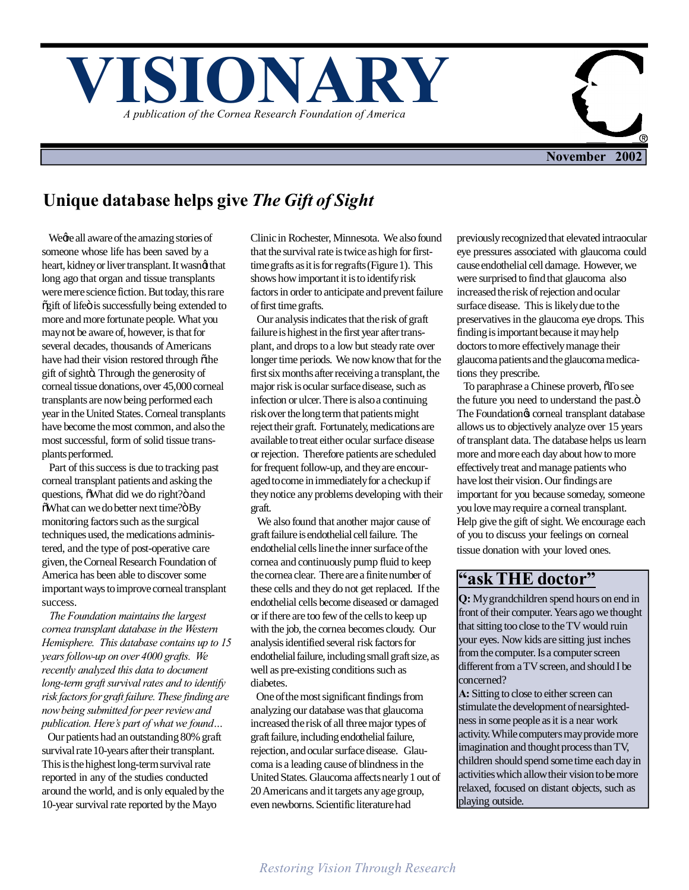



# **Unique database helps give** *The Gift of Sight*

We all aware of the amazing stories of someone whose life has been saved by a heart, kidney or liver transplant. It wasnet that long ago that organ and tissue transplants were mere science fiction. But today, this rare  $\tilde{g}$ gift of life $\ddot{o}$  is successfully being extended to more and more fortunate people. What you may not be aware of, however, is that for several decades, thousands of Americans have had their vision restored through other gift of sightö. Through the generosity of corneal tissue donations, over 45,000 corneal transplants are now being performed each year in the United States. Corneal transplants have become the most common, and also the most successful, form of solid tissue transplants performed.

 Part of this success is due to tracking past corneal transplant patients and asking the questions,  $\delta$ What did we do right? $\ddot{o}$  and  $\delta$ What can we do better next time? $\delta$  By monitoring factors such as the surgical techniques used, the medications administered, and the type of post-operative care given, the Corneal Research Foundation of America has been able to discover some important ways to improve corneal transplant success.

 *The Foundation maintains the largest cornea transplant database in the Western Hemisphere. This database contains up to 15 years follow-up on over 4000 grafts. We recently analyzed this data to document long-term graft survival rates and to identify risk factors for graft failure. These finding are now being submitted for peer review and publication. Here's part of what we found…*

 Our patients had an outstanding 80% graft survival rate 10-years after their transplant. This is the highest long-term survival rate reported in any of the studies conducted around the world, and is only equaled by the 10-year survival rate reported by the Mayo

Clinic in Rochester, Minnesota. We also found that the survival rate is twice as high for firsttime grafts as it is for regrafts (Figure 1). This shows how important it is to identify risk factors in order to anticipate and prevent failure of first time grafts.

 Our analysis indicates that the risk of graft failure is highest in the first year after transplant, and drops to a low but steady rate over longer time periods. We now know that for the first six months after receiving a transplant, the major risk is ocular surface disease, such as infection or ulcer. There is also a continuing risk over the long term that patients might reject their graft. Fortunately, medications are available to treat either ocular surface disease or rejection. Therefore patients are scheduled for frequent follow-up, and they are encouraged to come in immediately for a checkup if they notice any problems developing with their graft.

 We also found that another major cause of graft failure is endothelial cell failure. The endothelial cells line the inner surface of the cornea and continuously pump fluid to keep the cornea clear. There are a finite number of these cells and they do not get replaced. If the endothelial cells become diseased or damaged or if there are too few of the cells to keep up with the job, the cornea becomes cloudy. Our analysis identified several risk factors for endothelial failure, including small graft size, as well as pre-existing conditions such as diabetes.

 One of the most significant findings from analyzing our database was that glaucoma increased the risk of all three major types of graft failure, including endothelial failure, rejection, and ocular surface disease. Glaucoma is a leading cause of blindness in the United States. Glaucoma affects nearly 1 out of 20 Americans and it targets any age group, even newborns. Scientific literature had

previously recognized that elevated intraocular eye pressures associated with glaucoma could cause endothelial cell damage. However, we were surprised to find that glaucoma also increased the risk of rejection and ocular surface disease. This is likely due to the preservatives in the glaucoma eye drops. This finding is important because it may help doctors to more effectively manage their glaucoma patients and the glaucoma medications they prescribe.

To paraphrase a Chinese proverb,  $\tilde{o}$ To see the future you need to understand the past. $\ddot{o}$ The Foundation & corneal transplant database allows us to objectively analyze over 15 years of transplant data. The database helps us learn more and more each day about how to more effectively treat and manage patients who have lost their vision. Our findings are important for you because someday, someone you love may require a corneal transplant. Help give the gift of sight. We encourage each of you to discuss your feelings on corneal tissue donation with your loved ones.

### **"ask THE doctor"**

**Q:** My grandchildren spend hours on end in front of their computer. Years ago we thought that sitting too close to the TV would ruin your eyes. Now kids are sitting just inches from the computer. Is a computer screen different from a TV screen, and should I be concerned?

**A:** Sitting to close to either screen can stimulate the development of nearsightedness in some people as it is a near work activity. While computers may provide more imagination and thought process than TV, children should spend some time each day in activities which allow their vision to be more relaxed, focused on distant objects, such as playing outside.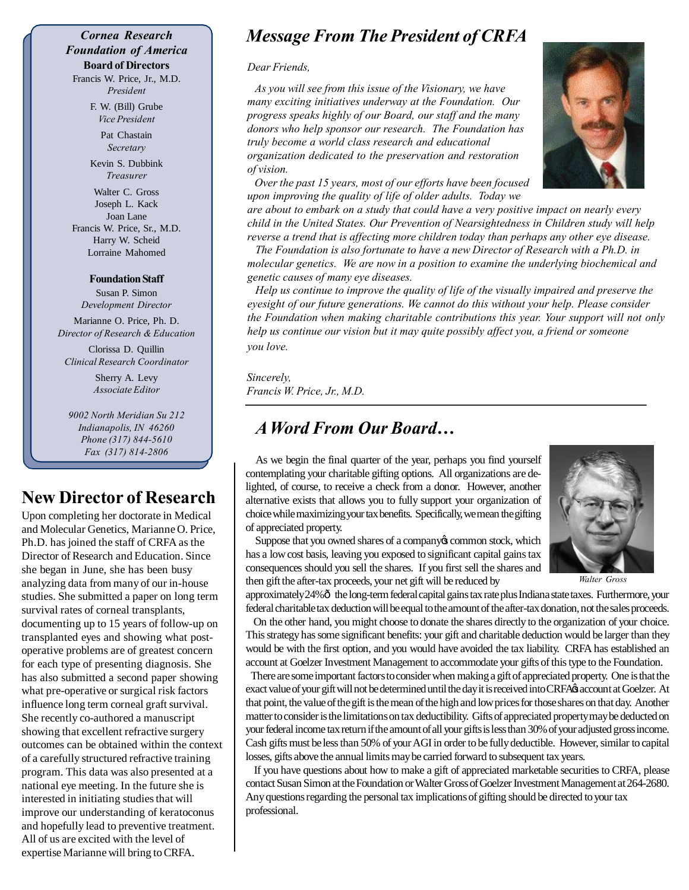#### *Cornea Research Foundation of America* **Board of Directors**

Francis W. Price, Jr., M.D. *President*

> F. W. (Bill) Grube *Vice President*

> > Pat Chastain *Secretary*

Kevin S. Dubbink *Treasurer*

Walter C. Gross Joseph L. Kack Joan Lane Francis W. Price, Sr., M.D. Harry W. Scheid Lorraine Mahomed

#### **Foundation Staff**

Susan P. Simon *Development Director*

Marianne O. Price, Ph. D. *Director of Research & Education*

Clorissa D. Quillin *Clinical Research Coordinator*

> Sherry A. Levy *Associate Editor*

*9002 North Meridian Su 212 Indianapolis, IN 46260 Phone (317) 844-5610 Fax (317) 814-2806*

## **New Director of Research**

Upon completing her doctorate in Medical and Molecular Genetics, Marianne O. Price, Ph.D. has joined the staff of CRFA as the Director of Research and Education. Since she began in June, she has been busy analyzing data from many of our in-house studies. She submitted a paper on long term survival rates of corneal transplants, documenting up to 15 years of follow-up on transplanted eyes and showing what postoperative problems are of greatest concern for each type of presenting diagnosis. She has also submitted a second paper showing what pre-operative or surgical risk factors influence long term corneal graft survival. She recently co-authored a manuscript showing that excellent refractive surgery outcomes can be obtained within the context of a carefully structured refractive training program. This data was also presented at a national eye meeting. In the future she is interested in initiating studies that will improve our understanding of keratoconus and hopefully lead to preventive treatment. All of us are excited with the level of expertise Marianne will bring to CRFA.

## *Message From The President of CRFA*

*Dear Friends,*

 *As you will see from this issue of the Visionary, we have many exciting initiatives underway at the Foundation. Our progress speaks highly of our Board, our staff and the many donors who help sponsor our research. The Foundation has truly become a world class research and educational organization dedicated to the preservation and restoration of vision.*

 *Over the past 15 years, most of our efforts have been focused upon improving the quality of life of older adults. Today we*

*are about to embark on a study that could have a very positive impact on nearly every child in the United States. Our Prevention of Nearsightedness in Children study will help reverse a trend that is affecting more children today than perhaps any other eye disease.*

 *The Foundation is also fortunate to have a new Director of Research with a Ph.D. in molecular genetics. We are now in a position to examine the underlying biochemical and genetic causes of many eye diseases.*

 *Help us continue to improve the quality of life of the visually impaired and preserve the eyesight of our future generations. We cannot do this without your help. Please consider the Foundation when making charitable contributions this year. Your support will not only help us continue our vision but it may quite possibly affect you, a friend or someone you love.*

*Sincerely, Francis W. Price, Jr., M.D.*

### *A Word From Our Board…*

 As we begin the final quarter of the year, perhaps you find yourself contemplating your charitable gifting options. All organizations are delighted, of course, to receive a check from a donor. However, another alternative exists that allows you to fully support your organization of choice while maximizing your tax benefits. Specifically, we mean the gifting of appreciated property.

Suppose that you owned shares of a company is common stock, which has a low cost basis, leaving you exposed to significant capital gains tax consequences should you sell the shares. If you first sell the shares and then gift the after-tax proceeds, your net gift will be reduced by

approximately 24% $\hat{o}$  the long-term federal capital gains tax rate plus Indiana state taxes. Furthermore, your federal charitable tax deduction will be equal to the amount of the after-tax donation, not the sales proceeds.

 On the other hand, you might choose to donate the shares directly to the organization of your choice. This strategy has some significant benefits: your gift and charitable deduction would be larger than they would be with the first option, and you would have avoided the tax liability. CRFA has established an account at Goelzer Investment Management to accommodate your gifts of this type to the Foundation.

 There are some important factors to consider when making a gift of appreciated property. One is that the exact value of your gift will not be determined until the day it is received into CRFA's account at Goelzer. At that point, the value of the gift is the mean of the high and low prices for those shares on that day. Another matter to consider is the limitations on tax deductibility. Gifts of appreciated property may be deducted on your federal income tax return if the amount of all your gifts is less than 30% of your adjusted gross income. Cash gifts must be less than 50% of your AGI in order to be fully deductible. However, similar to capital losses, gifts above the annual limits may be carried forward to subsequent tax years.

 If you have questions about how to make a gift of appreciated marketable securities to CRFA, please contact Susan Simon at the Foundation or Walter Gross of Goelzer Investment Management at 264-2680. Any questions regarding the personal tax implications of gifting should be directed to your tax professional.





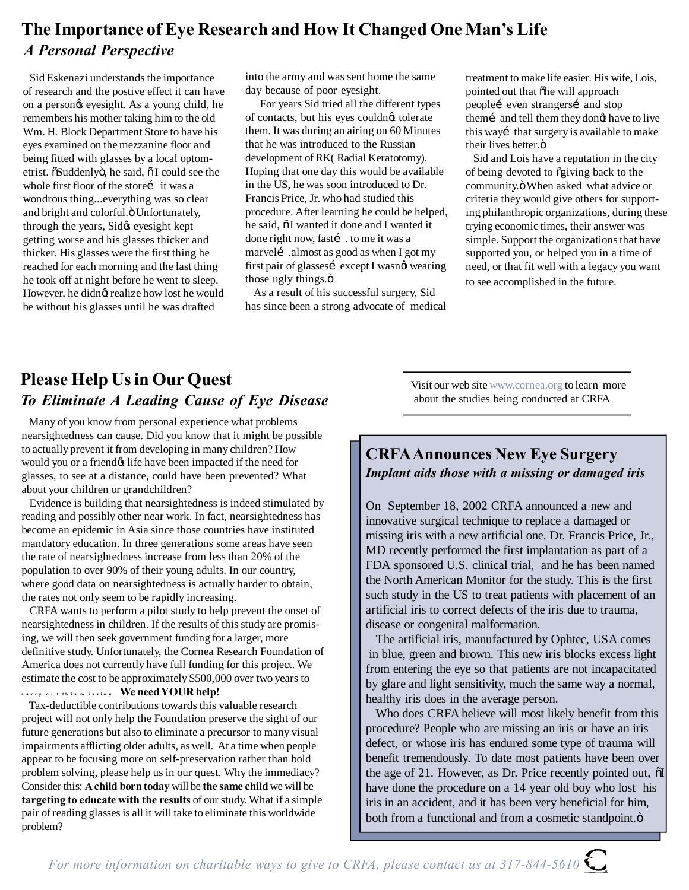## **The Importance of Eye Research and How It Changed One Man's Life** *A Personal Perspective*

 Sid Eskenazi understands the importance of research and the postive effect it can have on a person $\alpha$  eyesight. As a young child, he remembers his mother taking him to the old Wm. H. Block Department Store to have his eyes examined on the mezzanine floor and being fitted with glasses by a local optometrist. õSuddenlyö, he said, õ I could see the whole first floor of the storei it was a wondrous thing...everything was so clear and bright and colorful. Ö Unfortunately, through the years, Sidøs eyesight kept getting worse and his glasses thicker and thicker. His glasses were the first thing he reached for each morning and the last thing he took off at night before he went to sleep. However, he didng realize how lost he would be without his glasses until he was drafted

into the army and was sent home the same day because of poor eyesight.

 For years Sid tried all the different types of contacts, but his eyes couldnot tolerate them. It was during an airing on 60 Minutes that he was introduced to the Russian development of RK( Radial Keratotomy). Hoping that one day this would be available in the US, he was soon introduced to Dr. Francis Price, Jr. who had studied this procedure. After learning he could be helped, he said,  $\delta I$  wanted it done and I wanted it done right now, fastí . to me it was a marvelí .almost as good as when I got my first pair of glassesí except I wasnøt wearing those ugly things. $\ddot{o}$ 

 As a result of his successful surgery, Sid has since been a strong advocate of medical

treatment to make life easier. His wife, Lois, pointed out that othe will approach peopleí even strangersí and stop them i and tell them they dong have to live this way i that surgery is available to make their lives better.ö

 Sid and Lois have a reputation in the city of being devoted to õgiving back to the community. ö When asked what advice or criteria they would give others for supporting philanthropic organizations, during these trying economic times, their answer was simple. Support the organizations that have supported you, or helped you in a time of need, or that fit well with a legacy you want to see accomplished in the future.

# **Please Help Us in Our Quest** *To Eliminate A Leading Cause of Eye Disease*

 Many of you know from personal experience what problems nearsightedness can cause. Did you know that it might be possible to actually prevent it from developing in many children? How would you or a friend if the have been impacted if the need for glasses, to see at a distance, could have been prevented? What about your children or grandchildren?

 Evidence is building that nearsightedness is indeed stimulated by reading and possibly other near work. In fact, nearsightedness has become an epidemic in Asia since those countries have instituted mandatory education. In three generations some areas have seen the rate of nearsightedness increase from less than 20% of the population to over 90% of their young adults. In our country, where good data on nearsightedness is actually harder to obtain, the rates not only seem to be rapidly increasing.

 CRFA wants to perform a pilot study to help prevent the onset of nearsightedness in children. If the results of this study are promising, we will then seek government funding for a larger, more definitive study. Unfortunately, the Cornea Research Foundation of America does not currently have full funding for this project. We estimate the cost to be approximately \$500,000 over two years to **c a r r y o u t t h i s m i s s i o n . We need YOUR help!**

 Tax-deductible contributions towards this valuable research project will not only help the Foundation preserve the sight of our future generations but also to eliminate a precursor to many visual impairments afflicting older adults, as well. At a time when people appear to be focusing more on self-preservation rather than bold problem solving, please help us in our quest. Why the immediacy? Consider this: **A child born today** will be **the same child** we will be **targeting to educate with the results** of our study. What if a simple pair of reading glasses is all it will take to eliminate this worldwide problem?

Visit our web site www.cornea.org to learn more about the studies being conducted at CRFA

#### **CRFA Announces New Eye Surgery** *Implant aids those with a missing or damaged iris*

On September 18, 2002 CRFA announced a new and innovative surgical technique to replace a damaged or missing iris with a new artificial one. Dr. Francis Price, Jr., MD recently performed the first implantation as part of a FDA sponsored U.S. clinical trial, and he has been named the North American Monitor for the study. This is the first such study in the US to treat patients with placement of an artificial iris to correct defects of the iris due to trauma, disease or congenital malformation.

 The artificial iris, manufactured by Ophtec, USA comes in blue, green and brown. This new iris blocks excess light from entering the eye so that patients are not incapacitated by glare and light sensitivity, much the same way a normal, healthy iris does in the average person.

 Who does CRFA believe will most likely benefit from this procedure? People who are missing an iris or have an iris defect, or whose iris has endured some type of trauma will benefit tremendously. To date most patients have been over the age of 21. However, as Dr. Price recently pointed out,  $\tilde{o}I$ have done the procedure on a 14 year old boy who lost his iris in an accident, and it has been very beneficial for him, both from a functional and from a cosmetic standpoint. $\ddot{o}$ 

*For more information on charitable ways to give to CRFA, please contact us at 317-844-5610*